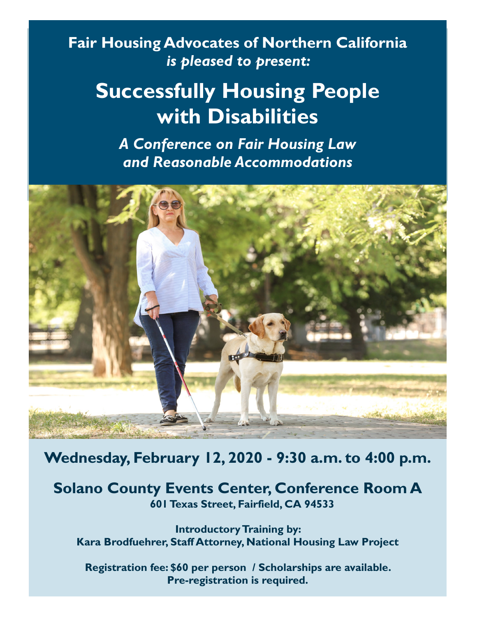### **Fair Housing Advocates of Northern California** *is pleased to present:*

# **Successfully Housing People with Disabilities**

*A Conference on Fair Housing Law and Reasonable Accommodations* 



**Wednesday, February 12, 2020 - 9:30 a.m. to 4:00 p.m.**

**Solano County Events Center, Conference Room A 601 Texas Street, Fairfield, CA 94533**

**Introductory Training by: Kara Brodfuehrer, Staff Attorney, National Housing Law Project**

**Registration fee: \$60 per person / Scholarships are available. Pre-registration is required.**